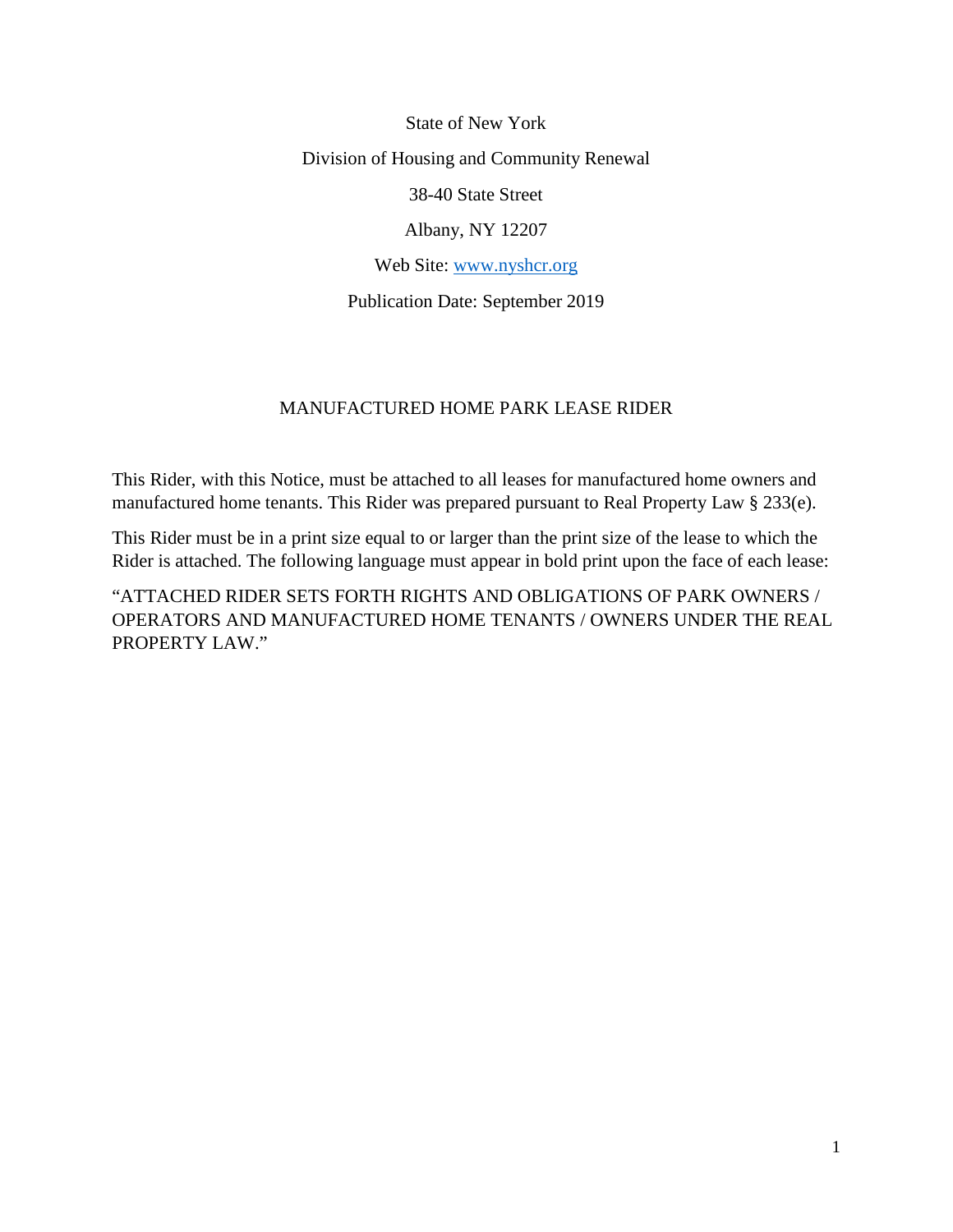State of New York Division of Housing and Community Renewal 38-40 State Street Albany, NY 12207 Web Site: [www.nyshcr.org](http://www.nyshcr.org/)

Publication Date: September 2019

#### MANUFACTURED HOME PARK LEASE RIDER

This Rider, with this Notice, must be attached to all leases for manufactured home owners and manufactured home tenants. This Rider was prepared pursuant to Real Property Law § 233(e).

This Rider must be in a print size equal to or larger than the print size of the lease to which the Rider is attached. The following language must appear in bold print upon the face of each lease:

"ATTACHED RIDER SETS FORTH RIGHTS AND OBLIGATIONS OF PARK OWNERS / OPERATORS AND MANUFACTURED HOME TENANTS / OWNERS UNDER THE REAL PROPERTY LAW."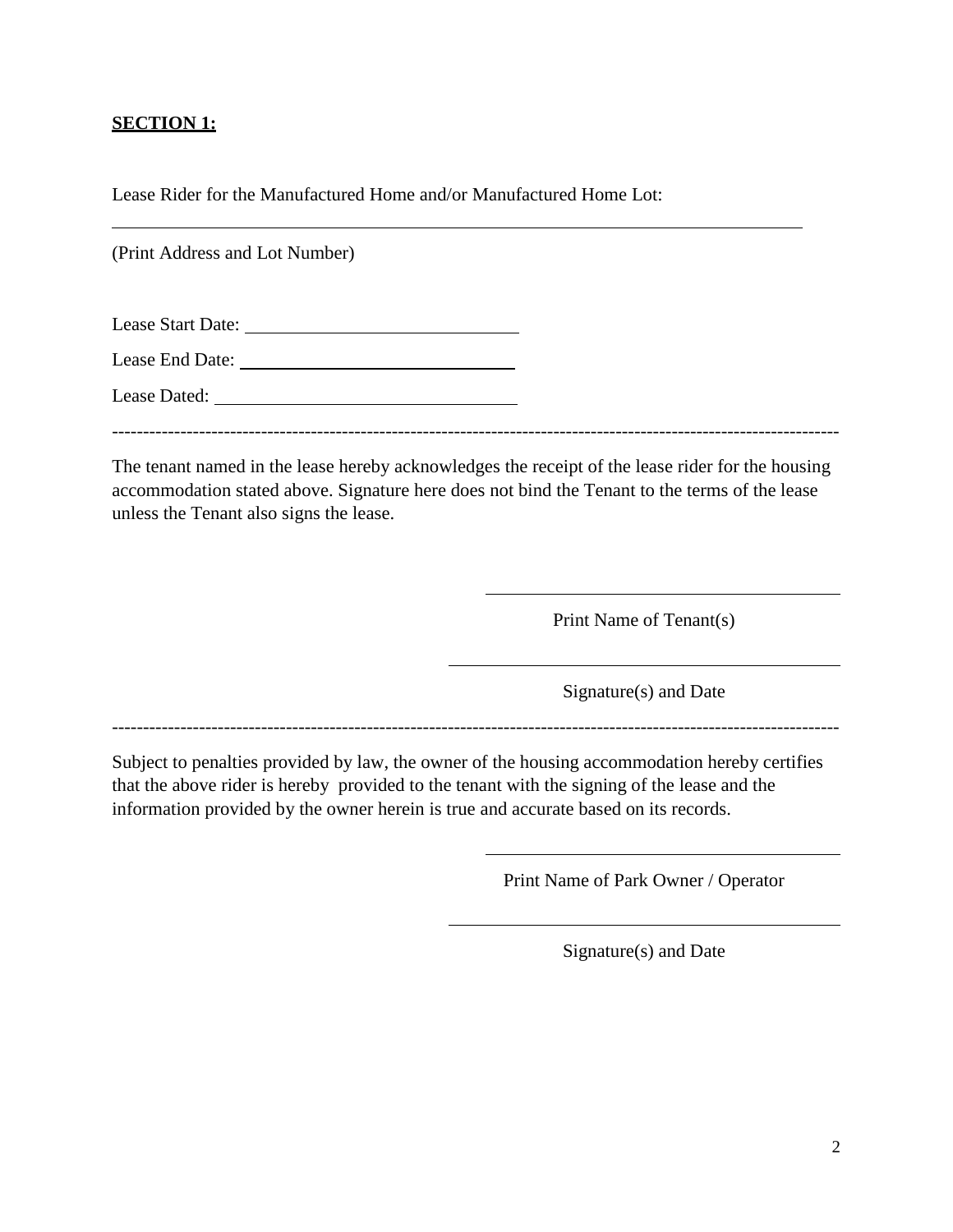#### **SECTION 1:**

Lease Rider for the Manufactured Home and/or Manufactured Home Lot:

(Print Address and Lot Number)

| Lease Start Date: |  |
|-------------------|--|
| Lease End Date:   |  |

Lease Dated:

---------------------------------------------------------------------------------------------------------------------

The tenant named in the lease hereby acknowledges the receipt of the lease rider for the housing accommodation stated above. Signature here does not bind the Tenant to the terms of the lease unless the Tenant also signs the lease.

Print Name of Tenant(s)

Signature(s) and Date

---------------------------------------------------------------------------------------------------------------------

Subject to penalties provided by law, the owner of the housing accommodation hereby certifies that the above rider is hereby provided to the tenant with the signing of the lease and the information provided by the owner herein is true and accurate based on its records.

Print Name of Park Owner / Operator

Signature(s) and Date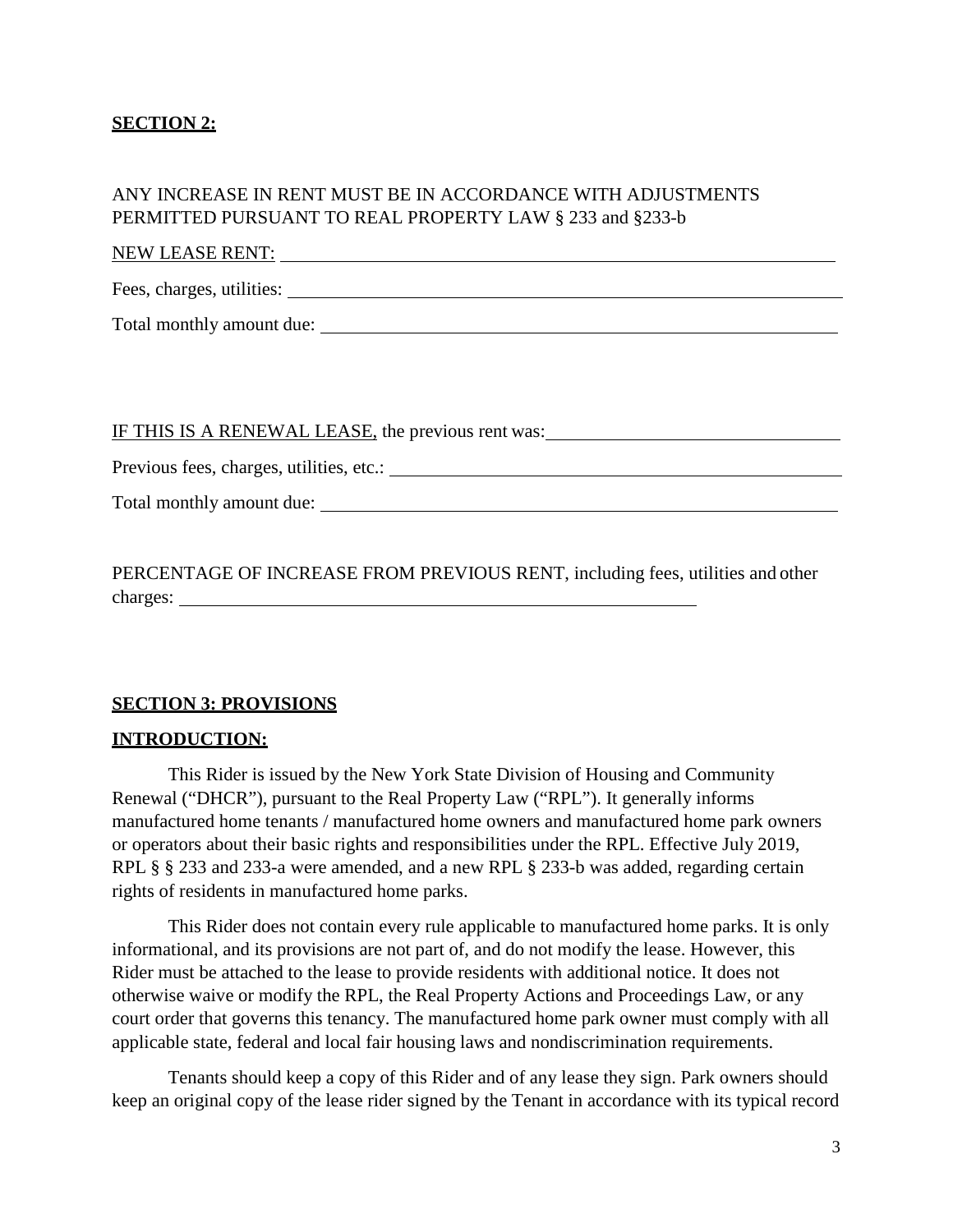#### **SECTION 2:**

#### ANY INCREASE IN RENT MUST BE IN ACCORDANCE WITH ADJUSTMENTS PERMITTED PURSUANT TO REAL PROPERTY LAW § 233 and §233-b

## NEW LEASE RENT: UNIVERSITY OF A SERIES AND THE RESEARCH OF A SERIES OF A SERIES OF A SERIES OF A SERIES OF A SERIES OF A SERIES OF A SERIES OF A SERIES OF A SERIES OF A SERIES OF A SERIES OF A SERIES OF A SERIES OF A SERIE

Fees, charges, utilities: Letter and the set of the set of the set of the set of the set of the set of the set of the set of the set of the set of the set of the set of the set of the set of the set of the set of the set o

Total monthly amount due:

IF THIS IS A RENEWAL LEASE, the previous rent was:

Previous fees, charges, utilities, etc.: University of the state of the state of the state of the state of the state of the state of the state of the state of the state of the state of the state of the state of the state o

Total monthly amount due:

PERCENTAGE OF INCREASE FROM PREVIOUS RENT, including fees, utilities and other charges:  $\blacksquare$ 

#### **SECTION 3: PROVISIONS**

#### **INTRODUCTION:**

This Rider is issued by the New York State Division of Housing and Community Renewal ("DHCR"), pursuant to the Real Property Law ("RPL"). It generally informs manufactured home tenants / manufactured home owners and manufactured home park owners or operators about their basic rights and responsibilities under the RPL. Effective July 2019, RPL § § 233 and 233-a were amended, and a new RPL § 233-b was added, regarding certain rights of residents in manufactured home parks.

This Rider does not contain every rule applicable to manufactured home parks. It is only informational, and its provisions are not part of, and do not modify the lease. However, this Rider must be attached to the lease to provide residents with additional notice. It does not otherwise waive or modify the RPL, the Real Property Actions and Proceedings Law, or any court order that governs this tenancy. The manufactured home park owner must comply with all applicable state, federal and local fair housing laws and nondiscrimination requirements.

Tenants should keep a copy of this Rider and of any lease they sign. Park owners should keep an original copy of the lease rider signed by the Tenant in accordance with its typical record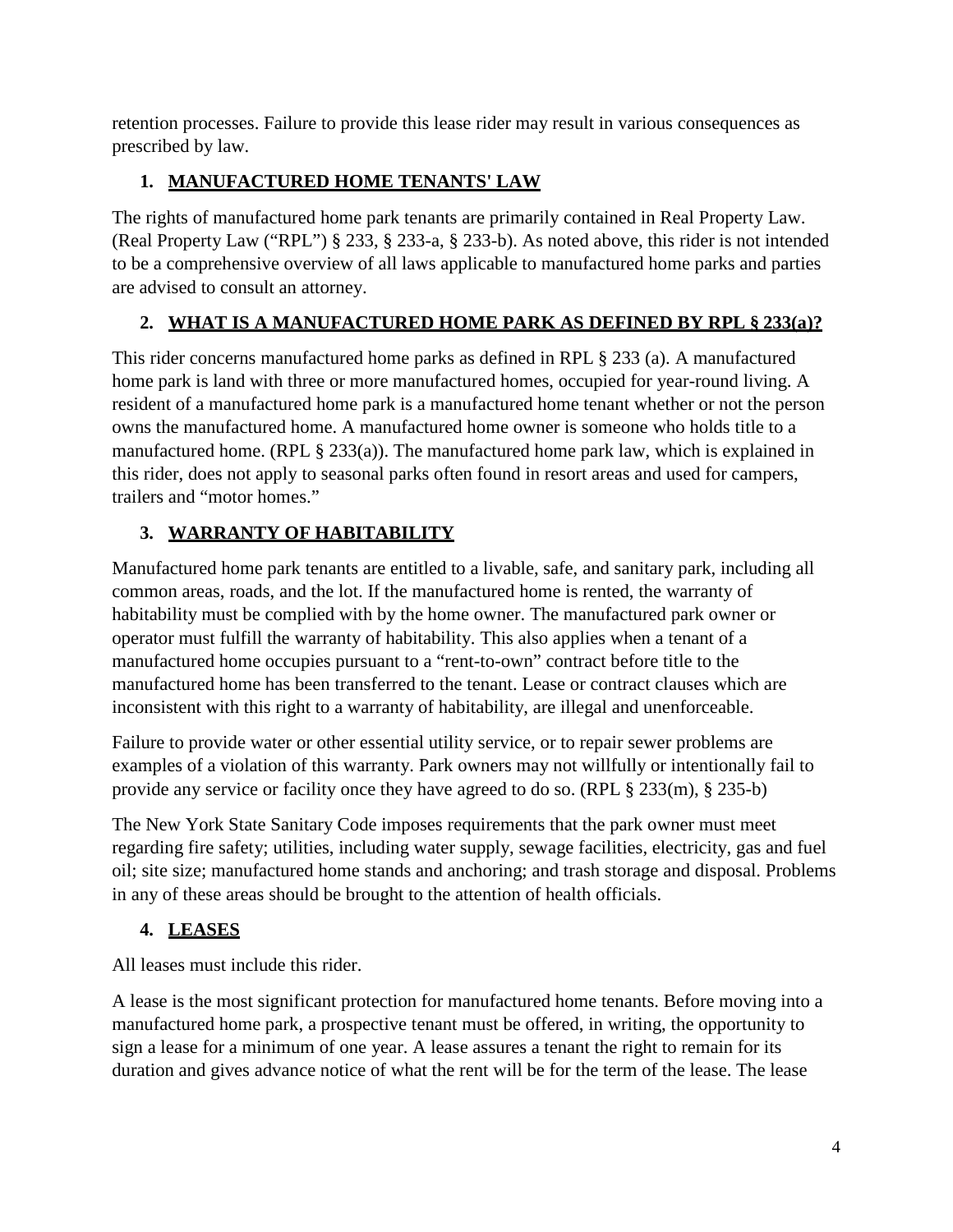retention processes. Failure to provide this lease rider may result in various consequences as prescribed by law.

## **1. MANUFACTURED HOME TENANTS' LAW**

The rights of manufactured home park tenants are primarily contained in Real Property Law. (Real Property Law ("RPL") § 233, § 233-a, § 233-b). As noted above, this rider is not intended to be a comprehensive overview of all laws applicable to manufactured home parks and parties are advised to consult an attorney.

# **2. WHAT IS A MANUFACTURED HOME PARK AS DEFINED BY RPL § 233(a)?**

This rider concerns manufactured home parks as defined in RPL § 233 (a). A manufactured home park is land with three or more manufactured homes, occupied for year-round living. A resident of a manufactured home park is a manufactured home tenant whether or not the person owns the manufactured home. A manufactured home owner is someone who holds title to a manufactured home. (RPL § 233(a)). The manufactured home park law, which is explained in this rider, does not apply to seasonal parks often found in resort areas and used for campers, trailers and "motor homes."

## **3. WARRANTY OF HABITABILITY**

Manufactured home park tenants are entitled to a livable, safe, and sanitary park, including all common areas, roads, and the lot. If the manufactured home is rented, the warranty of habitability must be complied with by the home owner. The manufactured park owner or operator must fulfill the warranty of habitability. This also applies when a tenant of a manufactured home occupies pursuant to a "rent-to-own" contract before title to the manufactured home has been transferred to the tenant. Lease or contract clauses which are inconsistent with this right to a warranty of habitability, are illegal and unenforceable.

Failure to provide water or other essential utility service, or to repair sewer problems are examples of a violation of this warranty. Park owners may not willfully or intentionally fail to provide any service or facility once they have agreed to do so. (RPL § 233(m), § 235-b)

The New York State Sanitary Code imposes requirements that the park owner must meet regarding fire safety; utilities, including water supply, sewage facilities, electricity, gas and fuel oil; site size; manufactured home stands and anchoring; and trash storage and disposal. Problems in any of these areas should be brought to the attention of health officials.

# **4. LEASES**

All leases must include this rider.

A lease is the most significant protection for manufactured home tenants. Before moving into a manufactured home park, a prospective tenant must be offered, in writing, the opportunity to sign a lease for a minimum of one year. A lease assures a tenant the right to remain for its duration and gives advance notice of what the rent will be for the term of the lease. The lease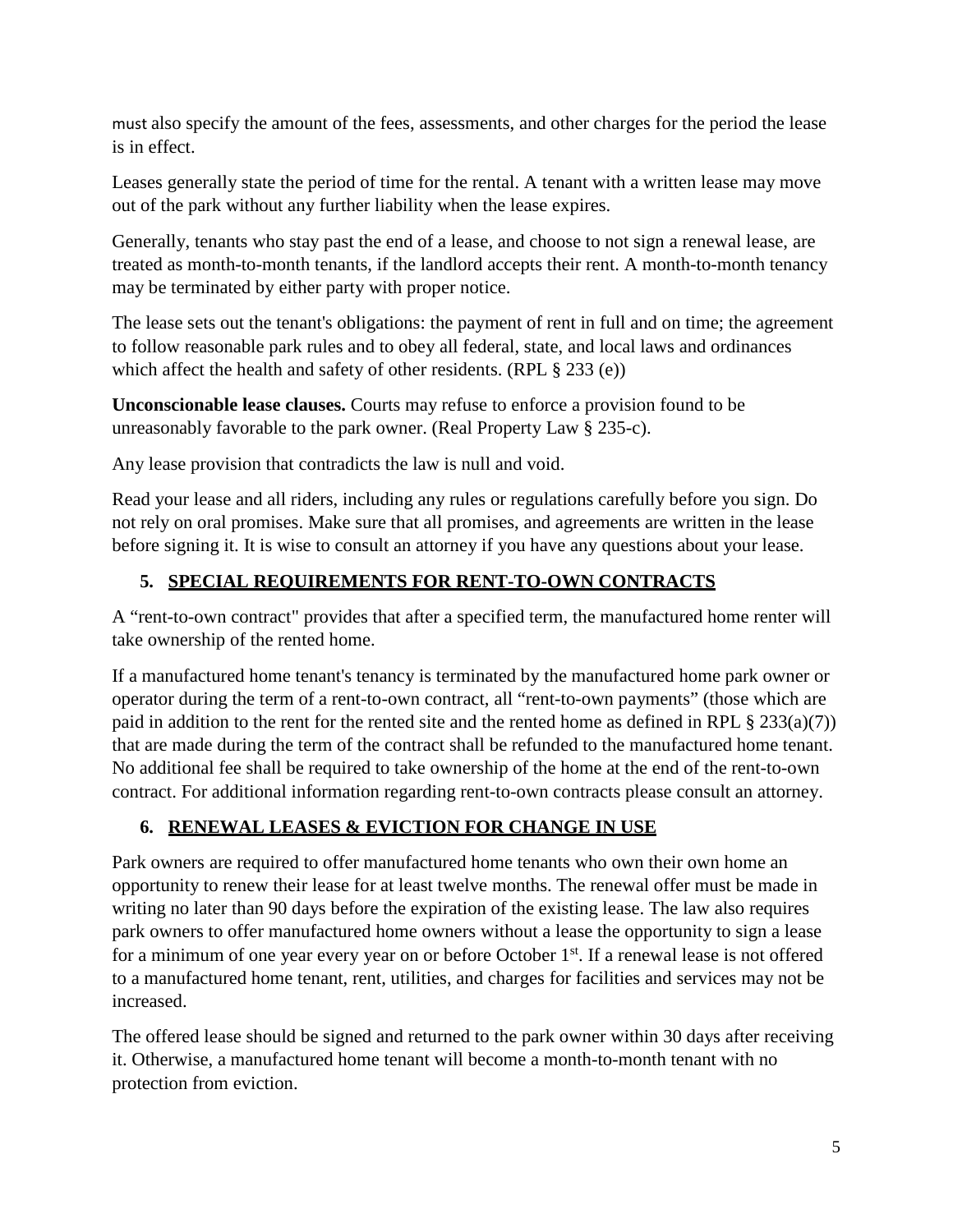must also specify the amount of the fees, assessments, and other charges for the period the lease is in effect.

Leases generally state the period of time for the rental. A tenant with a written lease may move out of the park without any further liability when the lease expires.

Generally, tenants who stay past the end of a lease, and choose to not sign a renewal lease, are treated as month-to-month tenants, if the landlord accepts their rent. A month-to-month tenancy may be terminated by either party with proper notice.

The lease sets out the tenant's obligations: the payment of rent in full and on time; the agreement to follow reasonable park rules and to obey all federal, state, and local laws and ordinances which affect the health and safety of other residents. (RPL § 233 (e))

**Unconscionable lease clauses.** Courts may refuse to enforce a provision found to be unreasonably favorable to the park owner. (Real Property Law § 235-c).

Any lease provision that contradicts the law is null and void.

Read your lease and all riders, including any rules or regulations carefully before you sign. Do not rely on oral promises. Make sure that all promises, and agreements are written in the lease before signing it. It is wise to consult an attorney if you have any questions about your lease.

# **5. SPECIAL REQUIREMENTS FOR RENT-TO-OWN CONTRACTS**

A "rent-to-own contract" provides that after a specified term, the manufactured home renter will take ownership of the rented home.

If a manufactured home tenant's tenancy is terminated by the manufactured home park owner or operator during the term of a rent-to-own contract, all "rent-to-own payments" (those which are paid in addition to the rent for the rented site and the rented home as defined in RPL § 233(a)(7)) that are made during the term of the contract shall be refunded to the manufactured home tenant. No additional fee shall be required to take ownership of the home at the end of the rent-to-own contract. For additional information regarding rent-to-own contracts please consult an attorney.

# **6. RENEWAL LEASES & EVICTION FOR CHANGE IN USE**

Park owners are required to offer manufactured home tenants who own their own home an opportunity to renew their lease for at least twelve months. The renewal offer must be made in writing no later than 90 days before the expiration of the existing lease. The law also requires park owners to offer manufactured home owners without a lease the opportunity to sign a lease for a minimum of one year every year on or before October 1<sup>st</sup>. If a renewal lease is not offered to a manufactured home tenant, rent, utilities, and charges for facilities and services may not be increased.

The offered lease should be signed and returned to the park owner within 30 days after receiving it. Otherwise, a manufactured home tenant will become a month-to-month tenant with no protection from eviction.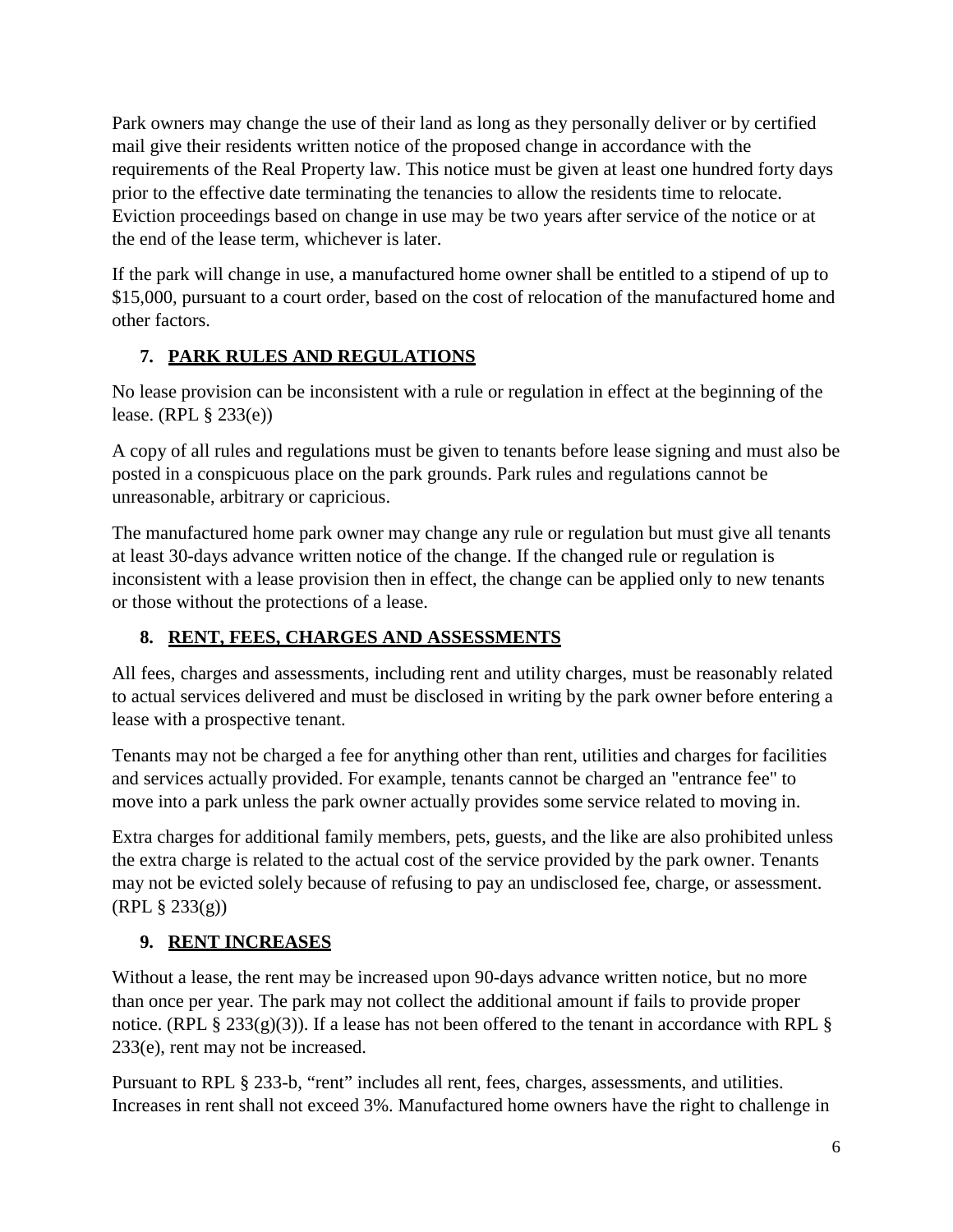Park owners may change the use of their land as long as they personally deliver or by certified mail give their residents written notice of the proposed change in accordance with the requirements of the Real Property law. This notice must be given at least one hundred forty days prior to the effective date terminating the tenancies to allow the residents time to relocate. Eviction proceedings based on change in use may be two years after service of the notice or at the end of the lease term, whichever is later.

If the park will change in use, a manufactured home owner shall be entitled to a stipend of up to \$15,000, pursuant to a court order, based on the cost of relocation of the manufactured home and other factors.

#### **7. PARK RULES AND REGULATIONS**

No lease provision can be inconsistent with a rule or regulation in effect at the beginning of the lease. (RPL § 233(e))

A copy of all rules and regulations must be given to tenants before lease signing and must also be posted in a conspicuous place on the park grounds. Park rules and regulations cannot be unreasonable, arbitrary or capricious.

The manufactured home park owner may change any rule or regulation but must give all tenants at least 30-days advance written notice of the change. If the changed rule or regulation is inconsistent with a lease provision then in effect, the change can be applied only to new tenants or those without the protections of a lease.

## **8. RENT, FEES, CHARGES AND ASSESSMENTS**

All fees, charges and assessments, including rent and utility charges, must be reasonably related to actual services delivered and must be disclosed in writing by the park owner before entering a lease with a prospective tenant.

Tenants may not be charged a fee for anything other than rent, utilities and charges for facilities and services actually provided. For example, tenants cannot be charged an "entrance fee" to move into a park unless the park owner actually provides some service related to moving in.

Extra charges for additional family members, pets, guests, and the like are also prohibited unless the extra charge is related to the actual cost of the service provided by the park owner. Tenants may not be evicted solely because of refusing to pay an undisclosed fee, charge, or assessment.  $(RPL \S 233(g))$ 

## **9. RENT INCREASES**

Without a lease, the rent may be increased upon 90-days advance written notice, but no more than once per year. The park may not collect the additional amount if fails to provide proper notice. (RPL  $\S 233(g)(3)$ ). If a lease has not been offered to the tenant in accordance with RPL  $\S$ 233(e), rent may not be increased.

Pursuant to RPL § 233-b, "rent" includes all rent, fees, charges, assessments, and utilities. Increases in rent shall not exceed 3%. Manufactured home owners have the right to challenge in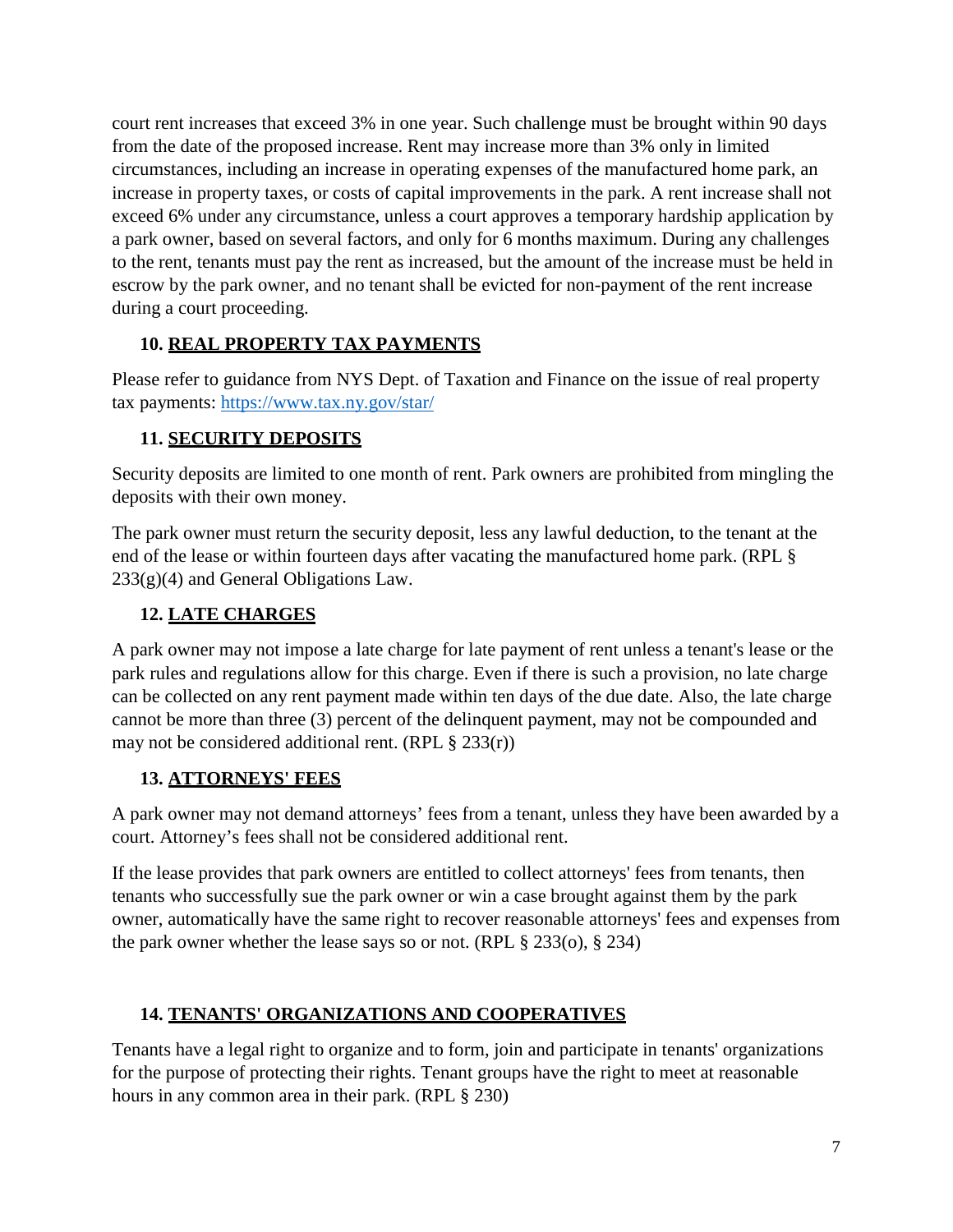court rent increases that exceed 3% in one year. Such challenge must be brought within 90 days from the date of the proposed increase. Rent may increase more than 3% only in limited circumstances, including an increase in operating expenses of the manufactured home park, an increase in property taxes, or costs of capital improvements in the park. A rent increase shall not exceed 6% under any circumstance, unless a court approves a temporary hardship application by a park owner, based on several factors, and only for 6 months maximum. During any challenges to the rent, tenants must pay the rent as increased, but the amount of the increase must be held in escrow by the park owner, and no tenant shall be evicted for non-payment of the rent increase during a court proceeding.

#### **10. REAL PROPERTY TAX PAYMENTS**

Please refer to guidance from NYS Dept. of Taxation and Finance on the issue of real property tax payments:<https://www.tax.ny.gov/star/>

#### **11. SECURITY DEPOSITS**

Security deposits are limited to one month of rent. Park owners are prohibited from mingling the deposits with their own money.

The park owner must return the security deposit, less any lawful deduction, to the tenant at the end of the lease or within fourteen days after vacating the manufactured home park. (RPL § 233(g)(4) and General Obligations Law.

## **12. LATE CHARGES**

A park owner may not impose a late charge for late payment of rent unless a tenant's lease or the park rules and regulations allow for this charge. Even if there is such a provision, no late charge can be collected on any rent payment made within ten days of the due date. Also, the late charge cannot be more than three (3) percent of the delinquent payment, may not be compounded and may not be considered additional rent. (RPL  $\S 233(r)$ )

## **13. ATTORNEYS' FEES**

A park owner may not demand attorneys' fees from a tenant, unless they have been awarded by a court. Attorney's fees shall not be considered additional rent.

If the lease provides that park owners are entitled to collect attorneys' fees from tenants, then tenants who successfully sue the park owner or win a case brought against them by the park owner, automatically have the same right to recover reasonable attorneys' fees and expenses from the park owner whether the lease says so or not. (RPL § 233(o), § 234)

## **14. TENANTS' ORGANIZATIONS AND COOPERATIVES**

Tenants have a legal right to organize and to form, join and participate in tenants' organizations for the purpose of protecting their rights. Tenant groups have the right to meet at reasonable hours in any common area in their park. (RPL § 230)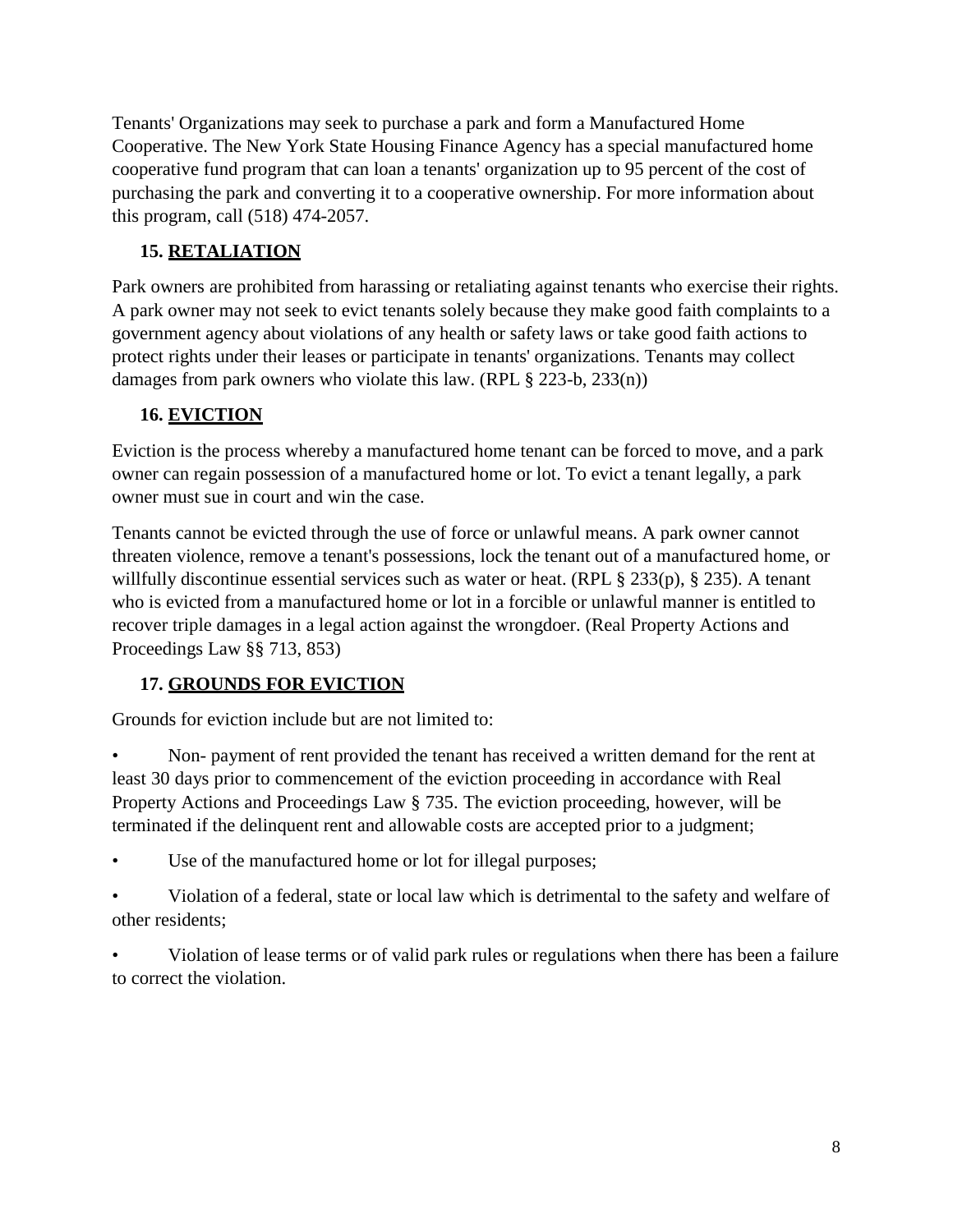Tenants' Organizations may seek to purchase a park and form a Manufactured Home Cooperative. The New York State Housing Finance Agency has a special manufactured home cooperative fund program that can loan a tenants' organization up to 95 percent of the cost of purchasing the park and converting it to a cooperative ownership. For more information about this program, call (518) 474-2057.

## **15. RETALIATION**

Park owners are prohibited from harassing or retaliating against tenants who exercise their rights. A park owner may not seek to evict tenants solely because they make good faith complaints to a government agency about violations of any health or safety laws or take good faith actions to protect rights under their leases or participate in tenants' organizations. Tenants may collect damages from park owners who violate this law. (RPL § 223-b, 233(n))

## **16. EVICTION**

Eviction is the process whereby a manufactured home tenant can be forced to move, and a park owner can regain possession of a manufactured home or lot. To evict a tenant legally, a park owner must sue in court and win the case.

Tenants cannot be evicted through the use of force or unlawful means. A park owner cannot threaten violence, remove a tenant's possessions, lock the tenant out of a manufactured home, or willfully discontinue essential services such as water or heat. (RPL § 233(p), § 235). A tenant who is evicted from a manufactured home or lot in a forcible or unlawful manner is entitled to recover triple damages in a legal action against the wrongdoer. (Real Property Actions and Proceedings Law §§ 713, 853)

# **17. GROUNDS FOR EVICTION**

Grounds for eviction include but are not limited to:

• Non- payment of rent provided the tenant has received a written demand for the rent at least 30 days prior to commencement of the eviction proceeding in accordance with Real Property Actions and Proceedings Law § 735. The eviction proceeding, however, will be terminated if the delinquent rent and allowable costs are accepted prior to a judgment;

- Use of the manufactured home or lot for illegal purposes;
- Violation of a federal, state or local law which is detrimental to the safety and welfare of other residents;

• Violation of lease terms or of valid park rules or regulations when there has been a failure to correct the violation.